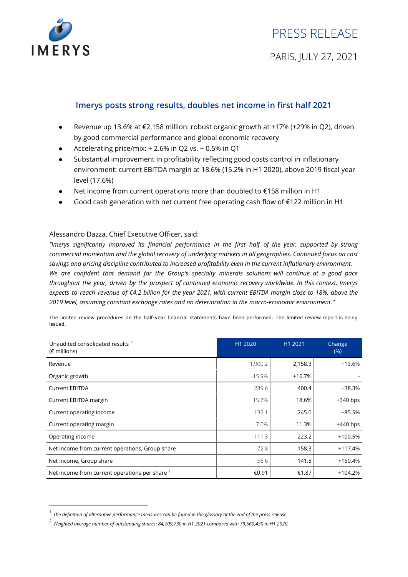

# **Imerys posts strong results, doubles net income in first half 2021**

- $\bullet$  Revenue up 13.6% at €2,158 million: robust organic growth at +17% (+29% in Q2), driven by good commercial performance and global economic recovery
- Accelerating price/mix:  $+ 2.6%$  in Q2 vs.  $+ 0.5%$  in Q1
- Substantial improvement in profitability reflecting good costs control in inflationary environment: current EBITDA margin at 18.6% (15.2% in H1 2020), above 2019 fiscal year level (17.6%)
- Net income from current operations more than doubled to  $€158$  million in H1
- Good cash generation with net current free operating cash flow of  $£122$  million in H1

### Alessandro Dazza, Chief Executive Officer, said:

*"Imerys significantly improved its financial performance in the first half of the year, supported by strong commercial momentum and the global recovery of underlying markets in all geographies. Continued focus on cost savings and pricing discipline contributed to increased profitability even in the current inflationary environment. We are confident that demand for the Group's specialty minerals solutions will continue at a good pace throughout the year, driven by the prospect of continued economic recovery worldwide. In this context, Imerys* expects to reach revenue of €4.2 billion for the year 2021, with current EBITDA margin close to 18%, above the *2019 level, assuming constant exchange rates and no deterioration in the macro-economic environment."*

The limited review procedures on the half-year financial statements have been performed. The limited review report is being issued.

| Unaudited consolidated results <sup>11</sup><br>$(\epsilon$ millions) | H1 2020  | H1 2021  | Change<br>(% ) |
|-----------------------------------------------------------------------|----------|----------|----------------|
| Revenue                                                               | 1,900.2  | 2,158.3  | +13.6%         |
| Organic growth                                                        | $-15.9%$ | $+16.7%$ |                |
| <b>Current EBITDA</b>                                                 | 289.6    | 400.4    | +38.3%         |
| Current EBITDA margin                                                 | 15.2%    | 18.6%    | $+340$ bps     |
| Current operating income                                              | 132.1    | 245.0    | +85.5%         |
| Current operating margin                                              | 7.0%     | 11.3%    | $+440$ bps     |
| Operating income                                                      | 111.3    | 223.2    | $+100.5%$      |
| Net income from current operations, Group share                       | 72.8     | 158.3    | $+117.4%$      |
| Net income, Group share                                               | 56.6     | 141.8    | $+150.4%$      |
| Net income from current operations per share <sup>2</sup>             | €0.91    | €1.87    | $+104.2%$      |

 $^{\rm 1}$  The definition of alternative performance measures can be found in the glossary at the end of the press release.

<sup>2</sup> *Weighted average number of outstanding shares: 84,709,730 in H1 <sup>2021</sup> compared with 79,560,430 in H1 2020.*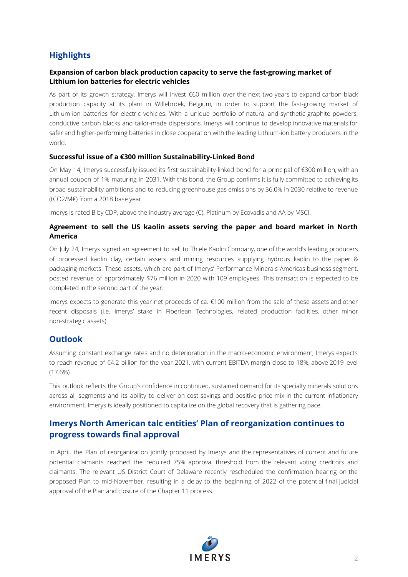# **Highlights**

### **Expansion of carbon black production capacity to serve the fast-growing market of Lithium ion batteries for electric vehicles**

As part of its growth strategy, Imerys will invest €60 million over the next two years to expand carbon black production capacity at its plant in Willebroek, Belgium, in order to support the fast-growing market of Lithium-ion batteries for electric vehicles. With a unique portfolio of natural and synthetic graphite powders, conductive carbon blacks and tailor-made dispersions, Imerys will continue to develop innovative materials for safer and higher-performing batteries in close cooperation with the leading Lithium-ion battery producers in the world.

### **Successful issue of a €300 million Sustainability-Linked Bond**

On May 14, Imerys successfully issued its first sustainability-linked bond for a principal of €300 million, with an annual coupon of 1% maturing in 2031. With this bond, the Group confirms it is fully committed to achieving its broad sustainability ambitions and to reducing greenhouse gas emissions by 36.0% in 2030 relative to revenue (tCO2/M€) from a 2018 base year.

Imerys is rated B by CDP, above the industry average (C), Platinum by Ecovadis and AA by MSCI.

### **Agreement to sell the US kaolin assets serving the paper and board market in North America**

On July 24, Imerys signed an agreement to sell to Thiele Kaolin Company, one of the world's leading producers of processed kaolin clay, certain assets and mining resources supplying hydrous kaolin to the paper & packaging markets. These assets, which are part of Imerys' Performance Minerals Americas business segment, posted revenue of approximately \$76 million in 2020 with 109 employees. This transaction is expected to be completed in the second part of the year.

Imerys expects to generate this year net proceeds of ca. €100 million from the sale of these assets and other recent disposals (i.e. Imerys' stake in Fiberlean Technologies, related production facilities, other minor non-strategic assets).

# **Outlook**

Assuming constant exchange rates and no deterioration in the macro-economic environment, Imerys expects to reach revenue of €4.2 billion for the year 2021, with current EBITDA margin close to 18%, above 2019 level (17.6%).

This outlook reflects the Group's confidence in continued, sustained demand for its specialty minerals solutions across all segments and its ability to deliver on cost savings and positive price-mix in the current inflationary environment. Imerys is ideally positioned to capitalize on the global recovery that is gathering pace.

# **Imerys North American talc entities' Plan of reorganization continues to progress towards final approval**

In April, the Plan of reorganization jointly proposed by Imerys and the representatives of current and future potential claimants reached the required 75% approval threshold from the relevant voting creditors and claimants. The relevant US District Court of Delaware recently rescheduled the confirmation hearing on the proposed Plan to mid-November, resulting in a delay to the beginning of 2022 of the potential final judicial approval of the Plan and closure of the Chapter 11 process.

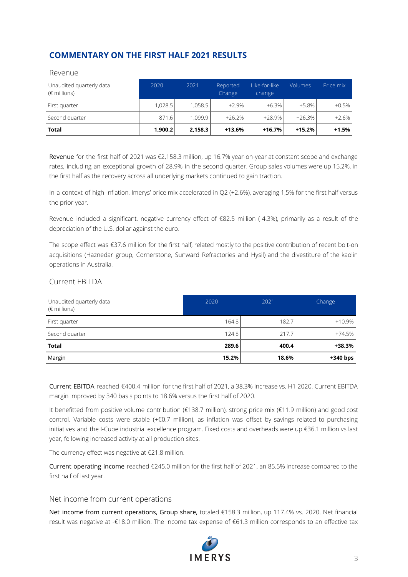# **COMMENTARY ON THE FIRST HALF 2021 RESULTS**

| <b>Total</b>                                      | 1,900.2 | 2,158.3 | $+13.6%$           | $+16.7%$                | $+15.2%$       | $+1.5%$   |
|---------------------------------------------------|---------|---------|--------------------|-------------------------|----------------|-----------|
| Second quarter                                    | 871.6   | 1.099.9 | $+26.2%$           | $+28.9%$                | $+26.3%$       | $+2.6%$   |
| First quarter                                     | 1.028.5 | 1.058.5 | $+2.9\%$           | $+6.3%$                 | $+5.8\%$       | $+0.5%$   |
| Unaudited quarterly data<br>$(\epsilon$ millions) | 2020    | 2021    | Reported<br>Change | Like-for-like<br>change | <b>Volumes</b> | Price mix |
| .                                                 |         |         |                    |                         |                |           |

#### Revenue

Revenue for the first half of 2021 was €2,158.3 million, up 16.7% year-on-year at constant scope and exchange rates, including an exceptional growth of 28.9% in the second quarter. Group sales volumes were up 15.2%, in the first half as the recovery across all underlying markets continued to gain traction.

In a context of high inflation, Imerys' price mix accelerated in Q2 (+2.6%), averaging 1,5% for the first half versus the prior year.

Revenue included a significant, negative currency effect of €82.5 million (-4.3%), primarily as a result of the depreciation of the U.S. dollar against the euro.

The scope effect was €37.6 million for the first half, related mostly to the positive contribution of recent bolt-on acquisitions (Haznedar group, Cornerstone, Sunward Refractories and Hysil) and the divestiture of the kaolin operations in Australia.

### Current EBITDA

| Unaudited quarterly data<br>$(\epsilon$ millions) | 2020  | 2021  | Change     |
|---------------------------------------------------|-------|-------|------------|
| First quarter                                     | 164.8 | 182.7 | $+10.9%$   |
| Second quarter                                    | 124.8 | 217.7 | $+74.5%$   |
| <b>Total</b>                                      | 289.6 | 400.4 | $+38.3%$   |
| Margin                                            | 15.2% | 18.6% | $+340$ bps |

Current EBITDA reached €400.4 million for the first half of 2021, a 38.3% increase vs. H1 2020. Current EBITDA margin improved by 340 basis points to 18.6% versus the first half of 2020.

It benefitted from positive volume contribution (€138.7 million), strong price mix (€11.9 million) and good cost control. Variable costs were stable (+€0.7 million), as inflation was offset by savings related to purchasing initiatives and the I-Cube industrial excellence program. Fixed costs and overheads were up €36.1 million vs last year, following increased activity at all production sites.

The currency effect was negative at €21.8 million.

Current operating income reached €245.0 million for the first half of 2021, an 85.5% increase compared to the first half of last year.

#### Net income from current operations

Net income from current operations, Group share, totaled €158.3 million, up 117.4% vs. 2020. Net financial result was negative at -€18.0 million. The income tax expense of €61.3 million corresponds to an effective tax

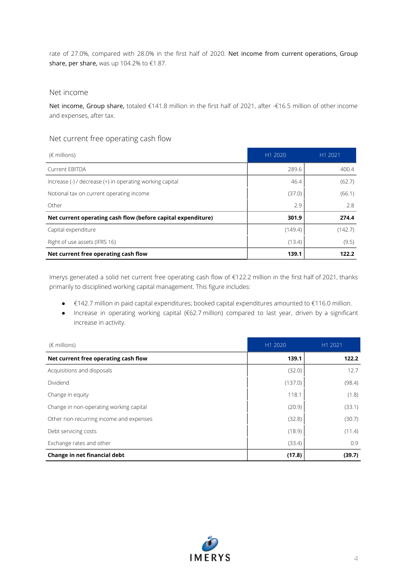rate of 27.0%, compared with 28.0% in the first half of 2020. Net income from current operations, Group share, per share, was up 104.2% to €1.87.

#### Net income

Net income, Group share, totaled €141.8 million in the first half of 2021, after -€16.5 million of other income and expenses, after tax.

### Net current free operating cash flow

| $(\epsilon$ millions)                                                                                  | H1 2020 | H1 2021 |
|--------------------------------------------------------------------------------------------------------|---------|---------|
| <b>Current FBITDA</b>                                                                                  | 289.6   | 400.4   |
| Increase $\left(\frac{1}{2}\right)$ / decrease $\left(\frac{1}{2}\right)$ in operating working capital | 46.4    | (62.7)  |
| Notional tax on current operating income                                                               | (37.0)  | (66.1)  |
| Other                                                                                                  | 2.9     | 2.8     |
| Net current operating cash flow (before capital expenditure)                                           | 301.9   | 274.4   |
| Capital expenditure                                                                                    | (149.4) | (142.7) |
| Right of use assets (IFRS 16)                                                                          | (13.4)  | (9.5)   |
| Net current free operating cash flow                                                                   | 139.1   | 122.2   |

Imerys generated a solid net current free operating cash flow of €122.2 million in the first half of 2021, thanks primarily to disciplined working capital management. This figure includes:

- €142.7 million in paid capital expenditures; booked capital expenditures amounted to €116.0 million.
- Increase in operating working capital (€62.7 million) compared to last year, driven by a significant increase in activity.

| $(\epsilon$ millions)                   | H1 2020 | H1 2021 |
|-----------------------------------------|---------|---------|
| Net current free operating cash flow    | 139.1   | 122.2   |
| Acquisitions and disposals              | (32.0)  | 12.7    |
| Dividend                                | (137.0) | (98.4)  |
| Change in equity                        | 118.1   | (1.8)   |
| Change in non-operating working capital | (20.9)  | (33.1)  |
| Other non-recurring income and expenses | (32.8)  | (30.7)  |
| Debt servicing costs                    | (18.9)  | (11.4)  |
| Exchange rates and other                | (33.4)  | 0.9     |
| Change in net financial debt            | (17.8)  | (39.7)  |

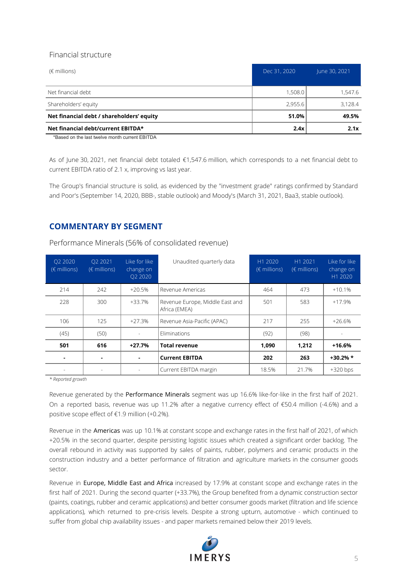## Financial structure

| $(\epsilon$ millions)                     | Dec 31, 2020 | June 30, 2021 |
|-------------------------------------------|--------------|---------------|
| Net financial debt                        | 1,508.0      | 1,547.6       |
| Shareholders' equity                      | 2,955.6      | 3,128.4       |
| Net financial debt / shareholders' equity | 51.0%        | 49.5%         |
| Net financial debt/current EBITDA*        | 2.4x         | 2.1x          |

\*Based on the last twelve month current EBITDA

As of June 30, 2021, net financial debt totaled €1,547.6 million, which corresponds to a net financial debt to current EBITDA ratio of 2.1 x, improving vs last year.

The Group's financial structure is solid, as evidenced by the "investment grade" ratings confirmed by Standard and Poor's (September 14, 2020, BBB-, stable outlook) and Moody's (March 31, 2021, Baa3, stable outlook).

# **COMMENTARY BY SEGMENT**

Performance Minerals (56% of consolidated revenue)

| O <sub>2</sub> 2020<br>$(\epsilon$ millions) | O <sub>2</sub> 2021<br>$(\epsilon$ millions) | Like for like<br>change on<br>O <sub>2</sub> 2020 | Unaudited quarterly data                         | H1 2020<br>$(\epsilon$ millions) | H1 2021<br>$(\epsilon$ millions) | Like for like<br>change on<br>H1 2020 |
|----------------------------------------------|----------------------------------------------|---------------------------------------------------|--------------------------------------------------|----------------------------------|----------------------------------|---------------------------------------|
| 214                                          | 242                                          | $+20.5%$                                          | Revenue Americas                                 | 464                              | 473                              | $+10.1%$                              |
| 228                                          | 300                                          | $+33.7%$                                          | Revenue Europe, Middle East and<br>Africa (EMEA) | 501                              | 583                              | $+17.9%$                              |
| 106                                          | 125                                          | $+27.3%$                                          | Revenue Asia-Pacific (APAC)                      | 217                              | 255                              | $+26.6%$                              |
| (45)                                         | (50)                                         |                                                   | Eliminations                                     | (92)                             | (98)                             |                                       |
| 501                                          | 616                                          | $+27.7%$                                          | <b>Total revenue</b>                             | 1,090                            | 1,212                            | $+16.6%$                              |
|                                              | ۰                                            |                                                   | <b>Current EBITDA</b>                            | 202                              | 263                              | $+30.2%$ *                            |
|                                              |                                              |                                                   | Current EBITDA margin                            | 18.5%                            | 21.7%                            | $+320$ bps                            |

*\* Reported growth*

Revenue generated by the Performance Minerals segment was up 16.6% like-for-like in the first half of 2021. On a reported basis, revenue was up 11.2% after a negative currency effect of €50.4 million (-4.6%) and a positive scope effect of €1.9 million (+0.2%).

Revenue in the Americas was up 10.1% at constant scope and exchange rates in the first half of 2021, of which +20.5% in the second quarter, despite persisting logistic issues which created a significant order backlog. The overall rebound in activity was supported by sales of paints, rubber, polymers and ceramic products in the construction industry and a better performance of filtration and agriculture markets in the consumer goods sector.

Revenue in Europe, Middle East and Africa increased by 17.9% at constant scope and exchange rates in the first half of 2021. During the second quarter (+33.7%), the Group benefited from a dynamic construction sector (paints, coatings, rubber and ceramic applications) and better consumer goods market (filtration and life science applications), which returned to pre-crisis levels. Despite a strong upturn, automotive - which continued to suffer from global chip availability issues - and paper markets remained below their 2019 levels.

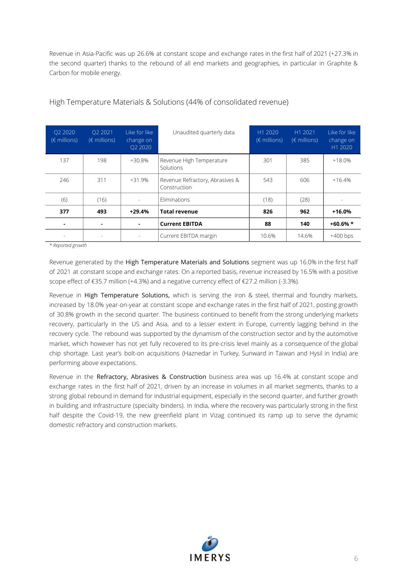Revenue in Asia-Pacific was up 26.6% at constant scope and exchange rates in the first half of 2021 (+27.3% in the second quarter) thanks to the rebound of all end markets and geographies, in particular in Graphite & Carbon for mobile energy.

| O <sub>2</sub> 2020<br>$(\epsilon$ millions) | O <sub>2</sub> 2021<br>$(\epsilon$ millions) | Like for like<br>change on<br>O <sub>2</sub> 2020 | Unaudited quarterly data                        | H1 2020<br>$(\epsilon$ millions) | H1 2021<br>$(\epsilon$ millions) | Like for like<br>change on<br>H1 2020 |
|----------------------------------------------|----------------------------------------------|---------------------------------------------------|-------------------------------------------------|----------------------------------|----------------------------------|---------------------------------------|
| 137                                          | 198                                          | +30.8%                                            | Revenue High Temperature<br>Solutions           | 301                              | 385                              | $+18.0%$                              |
| 246                                          | 311                                          | $+31.9%$                                          | Revenue Refractory, Abrasives &<br>Construction | 543                              | 606                              | $+16.4%$                              |
| (6)                                          | (16)                                         |                                                   | Eliminations                                    | (18)                             | (28)                             |                                       |
| 377                                          | 493                                          | $+29.4%$                                          | <b>Total revenue</b>                            | 826                              | 962                              | $+16.0%$                              |
|                                              |                                              |                                                   | <b>Current EBITDA</b>                           | 88                               | 140                              | $+60.6%$ *                            |
|                                              |                                              |                                                   | Current EBITDA margin                           | 10.6%                            | 14.6%                            | $+400$ bps                            |

## High Temperature Materials & Solutions (44% of consolidated revenue)

*\* Reported growth*

Revenue generated by the High Temperature Materials and Solutions segment was up 16.0% in the first half of 2021 at constant scope and exchange rates. On a reported basis, revenue increased by 16.5% with a positive scope effect of €35.7 million (+4.3%) and a negative currency effect of €27.2 million (-3.3%).

Revenue in High Temperature Solutions, which is serving the iron & steel, thermal and foundry markets, increased by 18.0% year-on-year at constant scope and exchange rates in the first half of 2021, posting growth of 30.8% growth in the second quarter. The business continued to benefit from the strong underlying markets recovery, particularly in the US and Asia, and to a lesser extent in Europe, currently lagging behind in the recovery cycle. The rebound was supported by the dynamism of the construction sector and by the automotive market, which however has not yet fully recovered to its pre-crisis level mainly as a consequence of the global chip shortage. Last year's bolt-on acquisitions (Haznedar in Turkey, Sunward in Taiwan and Hysil in India) are performing above expectations.

Revenue in the Refractory, Abrasives & Construction business area was up 16.4% at constant scope and exchange rates in the first half of 2021, driven by an increase in volumes in all market segments, thanks to a strong global rebound in demand for industrial equipment, especially in the second quarter, and further growth in building and infrastructure (specialty binders). In India, where the recovery was particularly strong in the first half despite the Covid-19, the new greenfield plant in Vizag continued its ramp up to serve the dynamic domestic refractory and construction markets.

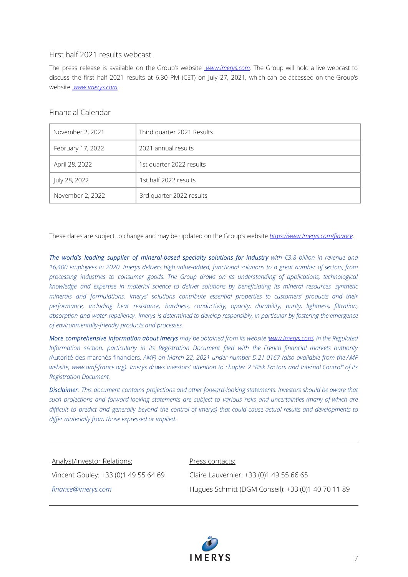### First half 2021 results webcast

The press release is available on the Group's website *[www.imerys.com](http://www.imerys.com)*. The Group will hold a live webcast to discuss the first half 2021 results at 6.30 PM (CET) on July 27, 2021, which can be accessed on the Group's website *[www.imerys.com](http://www.imerys.com)*.

### Financial Calendar

| November 2, 2021  | Third quarter 2021 Results |
|-------------------|----------------------------|
| February 17, 2022 | 2021 annual results        |
| April 28, 2022    | 1st quarter 2022 results   |
| July 28, 2022     | 1st half 2022 results      |
| November 2, 2022  | 3rd quarter 2022 results   |

These dates are subject to change and may be updated on the Group's website *[https://www.Imerys.com/finance](https://www.imerys.com/finance)*.

*The world's leading supplier of mineral-based specialty solutions for industry with €3.8 billion in revenue and* 16,400 employees in 2020. Imerys delivers high value-added, functional solutions to a great number of sectors, from *processing industries to consumer goods. The Group draws on its understanding of applications, technological knowledge and expertise in material science to deliver solutions by beneficiating its mineral resources, synthetic minerals and formulations. Imerys' solutions contribute essential properties to customers' products and their performance, including heat resistance, hardness, conductivity, opacity, durability, purity, lightness, filtration,* absorption and water repellency. Imerys is determined to develop responsibly, in particular by fostering the emergence *of environmentally-friendly products and processes.*

*More comprehensive information about Imerys may be obtained from its website [\(www.imerys.com](http://www.imerys.com)) in the Regulated Information section, particularly in its Registration Document filed with the French financial markets authority (*Autorité des marchés financiers*, AMF) on March 22, 2021 under number D.21-0167 (also available from the AMF* website, www.amf-france.org). Imerys draws investors' attention to chapter 2 "Risk Factors and Internal Control" of its *Registration Document.*

*Disclaimer: This document contains projections and other forward-looking statements. Investors should be aware that* such projections and forward-looking statements are subject to various risks and uncertainties (many of which are difficult to predict and generally beyond the control of Imerys) that could cause actual results and developments to *differ materially from those expressed or implied.*

#### Analyst/Investor Relations:

Vincent Gouley: +33 (0)1 49 55 64 69

*finance@imerys.com*

Press contacts:

Claire Lauvernier: +33 (0)1 49 55 66 65 Hugues Schmitt (DGM Conseil): +33 (0)1 40 70 11 89

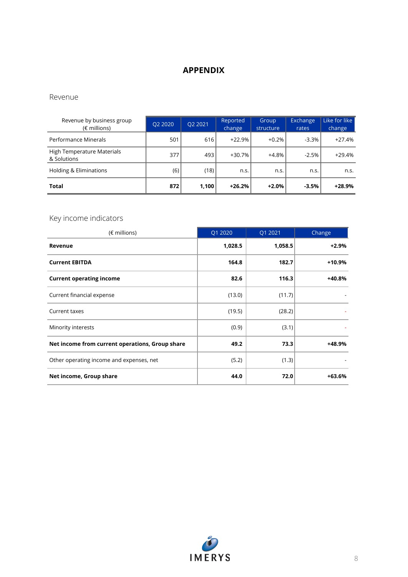# **APPENDIX**

### Revenue

| Revenue by business group<br>$(\epsilon$ millions) | Q2 2020 | Q2 2021 | Reported<br>change | Group<br>structure | Exchange<br>rates | Like for like<br>change |
|----------------------------------------------------|---------|---------|--------------------|--------------------|-------------------|-------------------------|
| Performance Minerals                               | 501     | 616     | $+22.9%$           | $+0.2%$            | $-3.3%$           | $+27.4%$                |
| High Temperature Materials<br>& Solutions          | 377     | 493     | +30.7%             | $+4.8%$            | $-2.5%$           | $+29.4%$                |
| <b>Holding &amp; Eliminations</b>                  | (6)     | (18)    | n.s.               | n.s.               | n.s.              | n.s.                    |
| Total                                              | 872     | 1,100   | $+26.2%$           | $+2.0%$            | $-3.5%$           | $+28.9%$                |

# Key income indicators

| $(\epsilon$ millions)                           | Q1 2020 | Q1 2021 | Change   |
|-------------------------------------------------|---------|---------|----------|
| Revenue                                         | 1,028.5 | 1,058.5 | $+2.9%$  |
| <b>Current EBITDA</b>                           | 164.8   | 182.7   | $+10.9%$ |
| <b>Current operating income</b>                 | 82.6    | 116.3   | +40.8%   |
| Current financial expense                       | (13.0)  | (11.7)  |          |
| Current taxes                                   | (19.5)  | (28.2)  |          |
| Minority interests                              | (0.9)   | (3.1)   |          |
| Net income from current operations, Group share | 49.2    | 73.3    | +48.9%   |
| Other operating income and expenses, net        | (5.2)   | (1.3)   |          |
| Net income, Group share                         | 44.0    | 72.0    | $+63.6%$ |

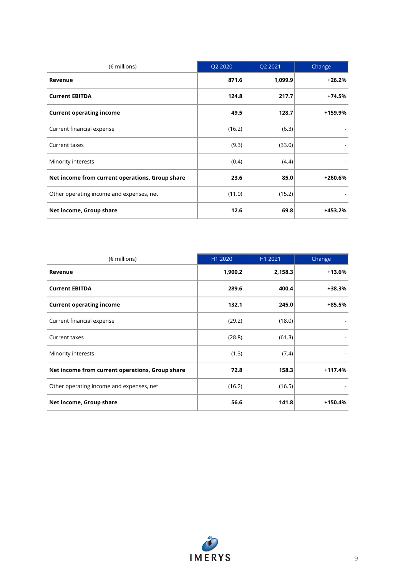| $(\epsilon$ millions)                           | Q2 2020 | Q2 2021 | Change    |
|-------------------------------------------------|---------|---------|-----------|
| Revenue                                         | 871.6   | 1,099.9 | $+26.2%$  |
| <b>Current EBITDA</b>                           | 124.8   | 217.7   | $+74.5%$  |
| <b>Current operating income</b>                 | 49.5    | 128.7   | +159.9%   |
| Current financial expense                       | (16.2)  | (6.3)   |           |
| Current taxes                                   | (9.3)   | (33.0)  |           |
| Minority interests                              | (0.4)   | (4.4)   |           |
| Net income from current operations, Group share | 23.6    | 85.0    | $+260.6%$ |
| Other operating income and expenses, net        | (11.0)  | (15.2)  |           |
| Net income, Group share                         | 12.6    | 69.8    | +453.2%   |

| $(\epsilon$ millions)                           | H1 2020 | H1 2021 | Change    |
|-------------------------------------------------|---------|---------|-----------|
| Revenue                                         | 1,900.2 | 2,158.3 | $+13.6%$  |
| <b>Current EBITDA</b>                           | 289.6   | 400.4   | +38.3%    |
| <b>Current operating income</b>                 | 132.1   | 245.0   | $+85.5%$  |
| Current financial expense                       | (29.2)  | (18.0)  |           |
| Current taxes                                   | (28.8)  | (61.3)  |           |
| Minority interests                              | (1.3)   | (7.4)   |           |
| Net income from current operations, Group share | 72.8    | 158.3   | $+117.4%$ |
| Other operating income and expenses, net        | (16.2)  | (16.5)  |           |
| Net income, Group share                         | 56.6    | 141.8   | $+150.4%$ |

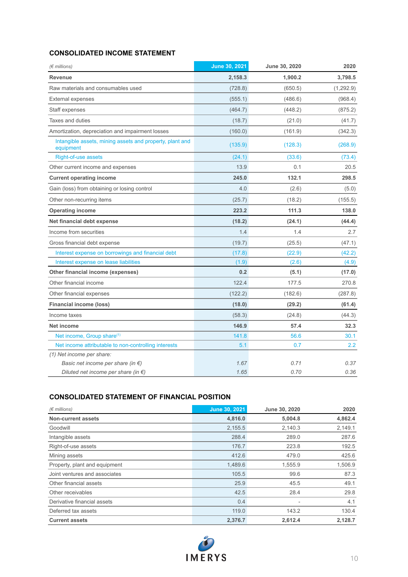## **CONSOLIDATED INCOME STATEMENT**

| $(\epsilon$ millions)                                                 | June 30, 2021 | June 30, 2020 | 2020      |
|-----------------------------------------------------------------------|---------------|---------------|-----------|
| <b>Revenue</b>                                                        | 2,158.3       | 1,900.2       | 3,798.5   |
| Raw materials and consumables used                                    | (728.8)       | (650.5)       | (1,292.9) |
| <b>External expenses</b>                                              | (555.1)       | (486.6)       | (968.4)   |
| Staff expenses                                                        | (464.7)       | (448.2)       | (875.2)   |
| Taxes and duties                                                      | (18.7)        | (21.0)        | (41.7)    |
| Amortization, depreciation and impairment losses                      | (160.0)       | (161.9)       | (342.3)   |
| Intangible assets, mining assets and property, plant and<br>equipment | (135.9)       | (128.3)       | (268.9)   |
| Right-of-use assets                                                   | (24.1)        | (33.6)        | (73.4)    |
| Other current income and expenses                                     | 13.9          | 0.1           | 20.5      |
| <b>Current operating income</b>                                       | 245.0         | 132.1         | 298.5     |
| Gain (loss) from obtaining or losing control                          | 4.0           | (2.6)         | (5.0)     |
| Other non-recurring items                                             | (25.7)        | (18.2)        | (155.5)   |
| <b>Operating income</b>                                               | 223.2         | 111.3         | 138.0     |
| Net financial debt expense                                            | (18.2)        | (24.1)        | (44.4)    |
| Income from securities                                                | 1.4           | 1.4           | 2.7       |
| Gross financial debt expense                                          | (19.7)        | (25.5)        | (47.1)    |
| Interest expense on borrowings and financial debt                     | (17.8)        | (22.9)        | (42.2)    |
| Interest expense on lease liabilities                                 | (1.9)         | (2.6)         | (4.9)     |
| Other financial income (expenses)                                     | 0.2           | (5.1)         | (17.0)    |
| Other financial income                                                | 122.4         | 177.5         | 270.8     |
| Other financial expenses                                              | (122.2)       | (182.6)       | (287.8)   |
| <b>Financial income (loss)</b>                                        | (18.0)        | (29.2)        | (61.4)    |
| Income taxes                                                          | (58.3)        | (24.8)        | (44.3)    |
| <b>Net income</b>                                                     | 146.9         | 57.4          | 32.3      |
| Net income, Group share <sup>(1)</sup>                                | 141.8         | 56.6          | 30.1      |
| Net income attributable to non-controlling interests                  | 5.1           | 0.7           | 2.2       |
| (1) Net income per share:                                             |               |               |           |
| Basic net income per share (in $\epsilon$ )                           | 1.67          | 0.71          | 0.37      |
| Diluted net income per share (in $\epsilon$ )                         | 1.65          | 0.70          | 0.36      |

### **CONSOLIDATED STATEMENT OF FINANCIAL POSITION**

| $(\epsilon$ millions)         | June 30, 2021 | June 30, 2020 | 2020    |
|-------------------------------|---------------|---------------|---------|
| <b>Non-current assets</b>     | 4,816.0       | 5,004.8       | 4,862.4 |
| Goodwill                      | 2,155.5       | 2,140.3       | 2,149.1 |
| Intangible assets             | 288.4         | 289.0         | 287.6   |
| Right-of-use assets           | 176.7         | 223.8         | 192.5   |
| Mining assets                 | 412.6         | 479.0         | 425.6   |
| Property, plant and equipment | 1,489.6       | 1,555.9       | 1,506.9 |
| Joint ventures and associates | 105.5         | 99.6          | 87.3    |
| Other financial assets        | 25.9          | 45.5          | 49.1    |
| Other receivables             | 42.5          | 28.4          | 29.8    |
| Derivative financial assets   | 0.4           |               | 4.1     |
| Deferred tax assets           | 119.0         | 143.2         | 130.4   |
| <b>Current assets</b>         | 2,376.7       | 2,612.4       | 2.128.7 |

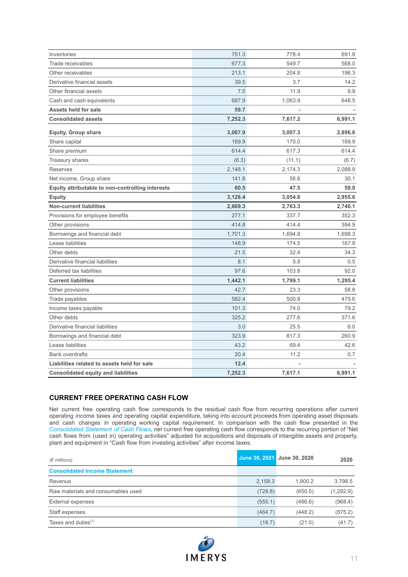| Inventories                                      | 751.3   | 778.4   | 691.8   |
|--------------------------------------------------|---------|---------|---------|
| Trade receivables                                | 677.3   | 549.7   | 568.0   |
| Other receivables                                | 213.1   | 204.8   | 196.3   |
| Derivative financial assets                      | 39.5    | 3.7     | 14.2    |
| Other financial assets                           | 7.5     | 11.9    | 9.9     |
| Cash and cash equivalents                        | 687.9   | 1,063.9 | 648.5   |
| <b>Assets held for sale</b>                      | 59.7    |         |         |
| <b>Consolidated assets</b>                       | 7,252.3 | 7,617.2 | 6,991.1 |
| Equity, Group share                              | 3,067.9 | 3,007.3 | 2,896.6 |
| Share capital                                    | 169.9   | 170.0   | 169.9   |
| Share premium                                    | 614.4   | 617.3   | 614.4   |
| <b>Treasury shares</b>                           | (6.3)   | (11.1)  | (6.7)   |
| <b>Reserves</b>                                  | 2,148.1 | 2,174.3 | 2,088.9 |
| Net income, Group share                          | 141.8   | 56.6    | 30.1    |
| Equity attributable to non-controlling interests | 60.5    | 47.5    | 59.0    |
| <b>Equity</b>                                    | 3,128.4 | 3,054.8 | 2,955.6 |
| <b>Non-current liabilities</b>                   | 2,669.3 | 2,763.3 | 2,740.1 |
| Provisions for employee benefits                 | 277.1   | 337.7   | 352.3   |
| Other provisions                                 | 414.8   | 414.4   | 394.9   |
| Borrowings and financial debt                    | 1,701.3 | 1,694.8 | 1,698.3 |
| Lease liabilities                                | 148.9   | 174.5   | 167.8   |
| Other debts                                      | 21.5    | 32.4    | 34.3    |
| Derivative financial liabilities                 | 8.1     | 5.8     | 0.5     |
| Deferred tax liabilities                         | 97.6    | 103.8   | 92.0    |
| <b>Current liabilities</b>                       | 1,442.1 | 1,799.1 | 1,295.4 |
| Other provisions                                 | 42.7    | 23.3    | 58.8    |
| Trade payables                                   | 582.4   | 500.8   | 475.6   |
| Income taxes payable                             | 101.3   | 74.0    | 79.2    |
| Other debts                                      | 325.2   | 277.6   | 371.6   |
| Derivative financial liabilities                 | 3.0     | 25.5    | 6.0     |
| Borrowings and financial debt                    | 323.9   | 817.3   | 260.9   |
| Lease liabilities                                | 43.2    | 69.4    | 42.6    |
| <b>Bank overdrafts</b>                           | 20.4    | 11.2    | 0.7     |
| Liabilities related to assets held for sale      | 12.4    |         |         |
| <b>Consolidated equity and liabilities</b>       | 7,252.3 | 7,617.1 | 6,991.1 |
|                                                  |         |         |         |

### **CURRENT FREE OPERATING CASH FLOW**

Net current free operating cash flow corresponds to the residual cash flow from recurring operations after current operating income taxes and operating capital expenditure, taking into account proceeds from operating asset disposals and cash changes in operating working capital requirement. In comparison with the cash flow presented in the *Consolidated Statement of Cash Flows*, net current free operating cash flow corresponds to the recurring portion of "Net cash flows from (used in) operating activities" adjusted for acquisitions and disposals of intangible assets and property, plant and equipment in "Cash flow from investing activities" after income taxes.

| $(\epsilon$ millions)                |         | June 30, 2021 June 30, 2020 | 2020      |
|--------------------------------------|---------|-----------------------------|-----------|
| <b>Consolidated Income Statement</b> |         |                             |           |
| Revenue                              | 2.158.3 | 1.900.2                     | 3.798.5   |
| Raw materials and consumables used   | (728.8) | (650.5)                     | (1,292.9) |
| <b>External expenses</b>             | (555.1) | (486.6)                     | (968.4)   |
| Staff expenses                       | (464.7) | (448.2)                     | (875.2)   |
| Taxes and duties $(1)$               | (18.7)  | (21.0)                      | (41.7)    |

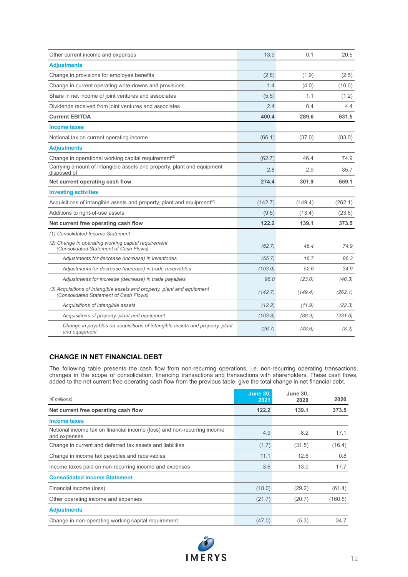| Other current income and expenses                                                                                 | 13.9    | 0.1     | 20.5    |
|-------------------------------------------------------------------------------------------------------------------|---------|---------|---------|
| <b>Adjustments</b>                                                                                                |         |         |         |
| Change in provisions for employee benefits                                                                        | (2.8)   | (1.9)   | (2.5)   |
| Change in current operating write-downs and provisions                                                            | 1.4     | (4.0)   | (10.0)  |
| Share in net income of joint ventures and associates                                                              | (5.5)   | 1.1     | (1.2)   |
| Dividends received from joint ventures and associates                                                             | 2.4     | 0.4     | 4.4     |
| <b>Current EBITDA</b>                                                                                             | 400.4   | 289.6   | 631.5   |
| <b>Income taxes</b>                                                                                               |         |         |         |
| Notional tax on current operating income                                                                          | (66.1)  | (37.0)  | (83.0)  |
| <b>Adjustments</b>                                                                                                |         |         |         |
| Change in operational working capital requirement <sup>(2)</sup>                                                  | (62.7)  | 46.4    | 74.9    |
| Carrying amount of intangible assets and property, plant and equipment<br>disposed of                             | 2.8     | 2.9     | 35.7    |
| Net current operating cash flow                                                                                   | 274.4   | 301.9   | 659.1   |
| <b>Investing activities</b>                                                                                       |         |         |         |
| Acquisitions of intangible assets and property, plant and equipment <sup>(3)</sup>                                | (142.7) | (149.4) | (262.1) |
| Additions to right-of-use assets                                                                                  | (9.5)   | (13.4)  | (23.5)  |
| Net current free operating cash flow                                                                              | 122.2   | 139.1   | 373.5   |
| (1) Consolidated Income Statement                                                                                 |         |         |         |
| (2) Change in operating working capital requirement<br>(Consolidated Statement of Cash Flows)                     | (62.7)  | 46.4    | 74.9    |
| Adjustments for decrease (increase) in inventories                                                                | (55.7)  | 16.7    | 86.3    |
| Adjustments for decrease (increase) in trade receivables                                                          | (103.0) | 52.6    | 34.9    |
| Adjustments for increase (decrease) in trade payables                                                             | 96.0    | (23.0)  | (46.3)  |
| (3) Acquisitions of intangible assets and property, plant and equipment<br>(Consolidated Statement of Cash Flows) | (142.7) | (149.4) | (262.1) |
| Acquisitions of intangible assets                                                                                 | (12.2)  | (11.9)  | (22.3)  |
| Acquisitions of property, plant and equipment                                                                     | (103.8) | (88.9)  | (231.6) |
| Change in payables on acquisitions of intangible assets and property, plant<br>and equipment                      | (26.7)  | (48.6)  | (8.2)   |

### **CHANGE IN NET FINANCIAL DEBT**

The following table presents the cash flow from non-recurring operations, i.e. non-recurring operating transactions, changes in the scope of consolidation, financing transactions and transactions with shareholders. These cash flows, added to the net current free operating cash flow from the previous table, give the total change in net financial debt.

| $(\epsilon$ millions)                                                                   | <b>June 30.</b><br>2021 | <b>June 30.</b><br>2020 | 2020    |
|-----------------------------------------------------------------------------------------|-------------------------|-------------------------|---------|
| Net current free operating cash flow                                                    | 122.2                   | 139.1                   | 373.5   |
| Income taxes                                                                            |                         |                         |         |
| Notional income tax on financial income (loss) and non-recurring income<br>and expenses | 4.9                     | 8.2                     | 17.1    |
| Change in current and deferred tax assets and liabilities                               | (1.7)                   | (31.5)                  | (16.4)  |
| Change in income tax payables and receivables                                           | 11.1                    | 12.6                    | 0.8     |
| Income taxes paid on non-recurring income and expenses                                  | 3.6                     | 13.0                    | 17.7    |
| <b>Consolidated Income Statement</b>                                                    |                         |                         |         |
| Financial income (loss)                                                                 | (18.0)                  | (29.2)                  | (61.4)  |
| Other operating income and expenses                                                     | (21.7)                  | (20.7)                  | (160.5) |
| <b>Adjustments</b>                                                                      |                         |                         |         |
| Change in non-operating working capital requirement                                     | (47.0)                  | (5.3)                   | 34.7    |

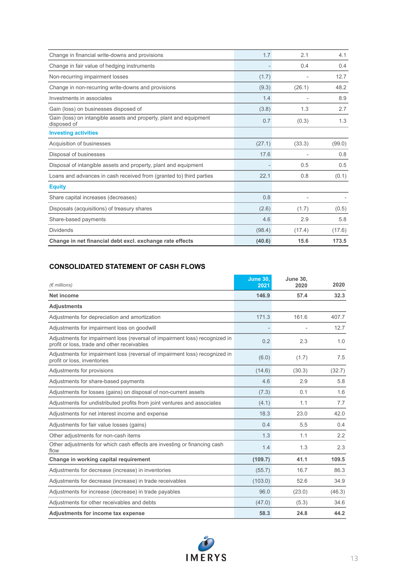| Change in financial write-downs and provisions                                    | 1.7    | 2.1                      | 4.1    |
|-----------------------------------------------------------------------------------|--------|--------------------------|--------|
| Change in fair value of hedging instruments                                       |        | 0.4                      | 0.4    |
| Non-recurring impairment losses                                                   | (1.7)  |                          | 12.7   |
| Change in non-recurring write-downs and provisions                                | (9.3)  | (26.1)                   | 48.2   |
| Investments in associates                                                         | 1.4    |                          | 8.9    |
| Gain (loss) on businesses disposed of                                             | (3.8)  | 1.3                      | 2.7    |
| Gain (loss) on intangible assets and property, plant and equipment<br>disposed of | 0.7    | (0.3)                    | 1.3    |
| <b>Investing activities</b>                                                       |        |                          |        |
| Acquisition of businesses                                                         | (27.1) | (33.3)                   | (99.0) |
| Disposal of businesses                                                            | 17.6   |                          | 0.8    |
| Disposal of intangible assets and property, plant and equipment                   |        | 0.5                      | 0.5    |
| Loans and advances in cash received from (granted to) third parties               | 22.1   | 0.8                      | (0.1)  |
| <b>Equity</b>                                                                     |        |                          |        |
| Share capital increases (decreases)                                               | 0.8    | $\overline{\phantom{a}}$ |        |
| Disposals (acquisitions) of treasury shares                                       | (2.6)  | (1.7)                    | (0.5)  |
| Share-based payments                                                              | 4.6    | 2.9                      | 5.8    |
| <b>Dividends</b>                                                                  | (98.4) | (17.4)                   | (17.6) |
| Change in net financial debt excl. exchange rate effects                          | (40.6) | 15.6                     | 173.5  |

## **CONSOLIDATED STATEMENT OF CASH FLOWS**

| $(F$ millions)                                                                                                             | <b>June 30.</b><br>2021 | <b>June 30.</b><br>2020 | 2020   |
|----------------------------------------------------------------------------------------------------------------------------|-------------------------|-------------------------|--------|
| <b>Net income</b>                                                                                                          | 146.9                   | 57.4                    | 32.3   |
| <b>Adjustments</b>                                                                                                         |                         |                         |        |
| Adjustments for depreciation and amortization                                                                              | 171.3                   | 161.6                   | 407.7  |
| Adjustments for impairment loss on goodwill                                                                                |                         |                         | 12.7   |
| Adjustments for impairment loss (reversal of impairment loss) recognized in<br>profit or loss, trade and other receivables | 0.2                     | 2.3                     | 1.0    |
| Adjustments for impairment loss (reversal of impairment loss) recognized in<br>profit or loss, inventories                 | (6.0)                   | (1.7)                   | 7.5    |
| Adjustments for provisions                                                                                                 | (14.6)                  | (30.3)                  | (32.7) |
| Adjustments for share-based payments                                                                                       | 4.6                     | 2.9                     | 5.8    |
| Adjustments for losses (gains) on disposal of non-current assets                                                           | (7.3)                   | 0.1                     | 1.6    |
| Adjustments for undistributed profits from joint ventures and associates                                                   | (4.1)                   | 1.1                     | 7.7    |
| Adjustments for net interest income and expense                                                                            | 18.3                    | 23.0                    | 42.0   |
| Adjustments for fair value losses (gains)                                                                                  | 0.4                     | 5.5                     | 0.4    |
| Other adjustments for non-cash items                                                                                       | 1.3                     | 1.1                     | 2.2    |
| Other adjustments for which cash effects are investing or financing cash<br>flow                                           | 1.4                     | 1.3                     | 2.3    |
| Change in working capital requirement                                                                                      | (109.7)                 | 41.1                    | 109.5  |
| Adjustments for decrease (increase) in inventories                                                                         | (55.7)                  | 16.7                    | 86.3   |
| Adjustments for decrease (increase) in trade receivables                                                                   | (103.0)                 | 52.6                    | 34.9   |
| Adjustments for increase (decrease) in trade payables                                                                      | 96.0                    | (23.0)                  | (46.3) |
| Adjustments for other receivables and debts                                                                                | (47.0)                  | (5.3)                   | 34.6   |
| Adjustments for income tax expense                                                                                         | 58.3                    | 24.8                    | 44.2   |

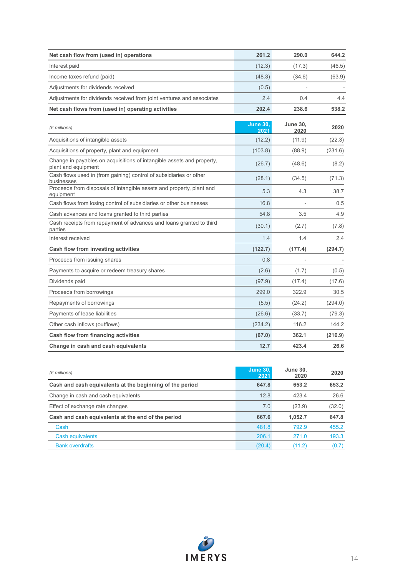| Net cash flow from (used in) operations                                                      | 261.2                   | 290.0                   | 644.2   |
|----------------------------------------------------------------------------------------------|-------------------------|-------------------------|---------|
| Interest paid                                                                                | (12.3)                  | (17.3)                  | (46.5)  |
| Income taxes refund (paid)                                                                   | (48.3)                  | (34.6)                  | (63.9)  |
| Adjustments for dividends received                                                           | (0.5)                   |                         |         |
| Adjustments for dividends received from joint ventures and associates                        | 2.4                     | 0.4                     | 4.4     |
| Net cash flows from (used in) operating activities                                           | 202.4                   | 238.6                   | 538.2   |
| $(\epsilon$ millions)                                                                        | <b>June 30.</b><br>2021 | <b>June 30.</b><br>2020 | 2020    |
| Acquisitions of intangible assets                                                            | (12.2)                  | (11.9)                  | (22.3)  |
| Acquisitions of property, plant and equipment                                                | (103.8)                 | (88.9)                  | (231.6) |
| Change in payables on acquisitions of intangible assets and property,<br>plant and equipment | (26.7)                  | (48.6)                  | (8.2)   |
| Cash flows used in (from gaining) control of subsidiaries or other<br>businesses             | (28.1)                  | (34.5)                  | (71.3)  |
| Proceeds from disposals of intangible assets and property, plant and<br>equipment            | 5.3                     | 4.3                     | 38.7    |
| Cash flows from losing control of subsidiaries or other businesses                           | 16.8                    |                         | 0.5     |
| Cash advances and loans granted to third parties                                             | 54.8                    | 3.5                     | 4.9     |
| Cash receipts from repayment of advances and loans granted to third<br>parties               | (30.1)                  | (2.7)                   | (7.8)   |
| Interest received                                                                            | 1.4                     | 1.4                     | 2.4     |
| Cash flow from investing activities                                                          | (122.7)                 | (177.4)                 | (294.7) |
| Proceeds from issuing shares                                                                 | 0.8                     |                         |         |
| Payments to acquire or redeem treasury shares                                                | (2.6)                   | (1.7)                   | (0.5)   |
| Dividends paid                                                                               | (97.9)                  | (17.4)                  | (17.6)  |
| Proceeds from borrowings                                                                     | 299.0                   | 322.9                   | 30.5    |
| Repayments of borrowings                                                                     | (5.5)                   | (24.2)                  | (294.0) |
| Payments of lease liabilities                                                                | (26.6)                  | (33.7)                  | (79.3)  |
| Other cash inflows (outflows)                                                                | (234.2)                 | 116.2                   | 144.2   |
| Cash flow from financing activities                                                          | (67.0)                  | 362.1                   | (216.9) |
| Change in cash and cash equivalents                                                          | 12.7                    | 423.4                   | 26.6    |

| $(\epsilon$ millions)                                    | <b>June 30.</b><br>2021 | <b>June 30,</b><br>2020 | 2020   |
|----------------------------------------------------------|-------------------------|-------------------------|--------|
| Cash and cash equivalents at the beginning of the period | 647.8                   | 653.2                   | 653.2  |
| Change in cash and cash equivalents                      | 12.8                    | 423.4                   | 26.6   |
| Effect of exchange rate changes                          | 7.0                     | (23.9)                  | (32.0) |
| Cash and cash equivalents at the end of the period       | 667.6                   | 1.052.7                 | 647.8  |
| Cash                                                     | 481.8                   | 7929                    | 455.2  |
| Cash equivalents                                         | 206.1                   | 2710                    | 193.3  |
| <b>Bank overdrafts</b>                                   | (20.4)                  | (11.2)                  | (0.7)  |